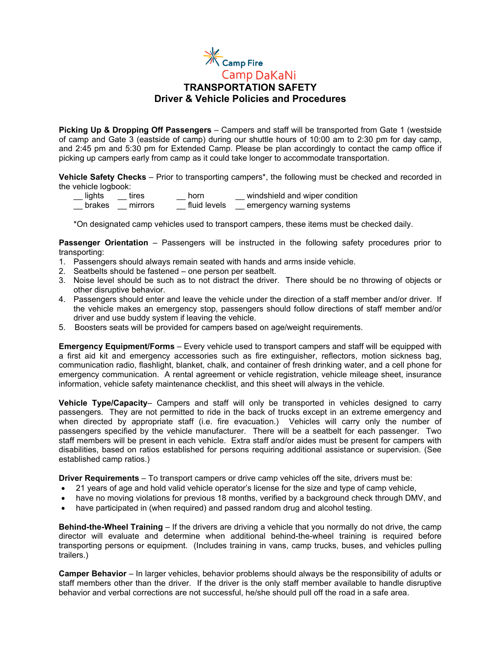

**Picking Up & Dropping Off Passengers** – Campers and staff will be transported from Gate 1 (westside of camp and Gate 3 (eastside of camp) during our shuttle hours of 10:00 am to 2:30 pm for day camp, and 2:45 pm and 5:30 pm for Extended Camp. Please be plan accordingly to contact the camp office if picking up campers early from camp as it could take longer to accommodate transportation.

**Vehicle Safety Checks** – Prior to transporting campers\*, the following must be checked and recorded in the vehicle logbook:

| __ lights     | tires   | horn         | windshield and wiper condition |
|---------------|---------|--------------|--------------------------------|
| <b>brakes</b> | mirrors | fluid levels | emergency warning systems      |

\*On designated camp vehicles used to transport campers, these items must be checked daily.

**Passenger Orientation** – Passengers will be instructed in the following safety procedures prior to transporting:

- 1. Passengers should always remain seated with hands and arms inside vehicle.
- 2. Seatbelts should be fastened one person per seatbelt.
- 3. Noise level should be such as to not distract the driver. There should be no throwing of objects or other disruptive behavior.
- 4. Passengers should enter and leave the vehicle under the direction of a staff member and/or driver. If the vehicle makes an emergency stop, passengers should follow directions of staff member and/or driver and use buddy system if leaving the vehicle.
- 5. Boosters seats will be provided for campers based on age/weight requirements.

**Emergency Equipment/Forms** – Every vehicle used to transport campers and staff will be equipped with a first aid kit and emergency accessories such as fire extinguisher, reflectors, motion sickness bag, communication radio, flashlight, blanket, chalk, and container of fresh drinking water, and a cell phone for emergency communication. A rental agreement or vehicle registration, vehicle mileage sheet, insurance information, vehicle safety maintenance checklist, and this sheet will always in the vehicle.

**Vehicle Type/Capacity**– Campers and staff will only be transported in vehicles designed to carry passengers. They are not permitted to ride in the back of trucks except in an extreme emergency and when directed by appropriate staff (i.e. fire evacuation.) Vehicles will carry only the number of passengers specified by the vehicle manufacturer. There will be a seatbelt for each passenger. Two staff members will be present in each vehicle. Extra staff and/or aides must be present for campers with disabilities, based on ratios established for persons requiring additional assistance or supervision. (See established camp ratios.)

**Driver Requirements** – To transport campers or drive camp vehicles off the site, drivers must be:

- 21 years of age and hold valid vehicle operator's license for the size and type of camp vehicle,
- have no moving violations for previous 18 months, verified by a background check through DMV, and
- have participated in (when required) and passed random drug and alcohol testing.

**Behind-the-Wheel Training** – If the drivers are driving a vehicle that you normally do not drive, the camp director will evaluate and determine when additional behind-the-wheel training is required before transporting persons or equipment.(Includes training in vans, camp trucks, buses, and vehicles pulling trailers.)

**Camper Behavior** – In larger vehicles, behavior problems should always be the responsibility of adults or staff members other than the driver. If the driver is the only staff member available to handle disruptive behavior and verbal corrections are not successful, he/she should pull off the road in a safe area.